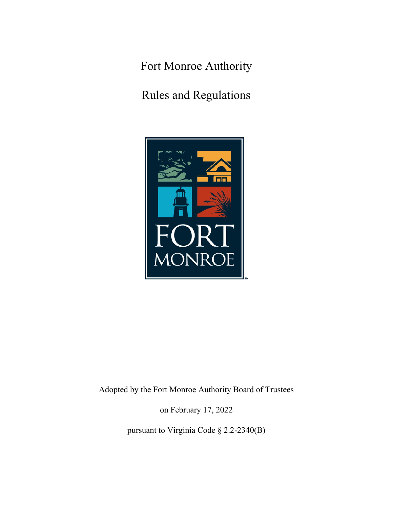Fort Monroe Authority

# Rules and Regulations



Adopted by the Fort Monroe Authority Board of Trustees

on February 17, 2022

pursuant to Virginia Code § 2.2-2340(B)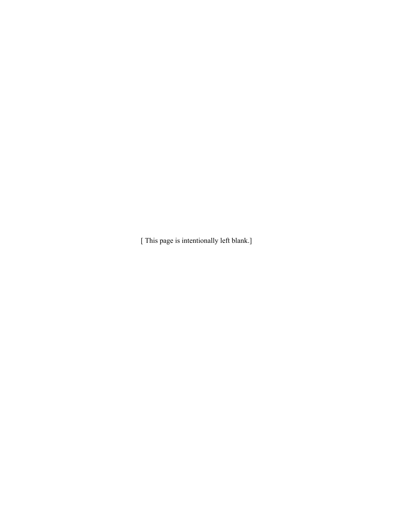[ This page is intentionally left blank.]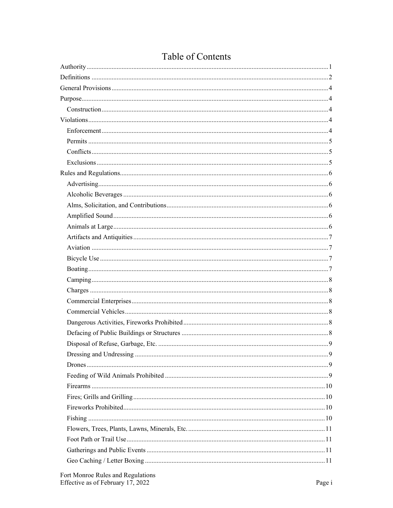|  | Table of Contents |
|--|-------------------|
|--|-------------------|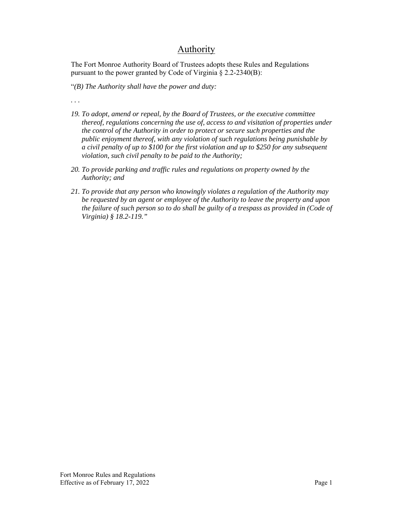# Authority

The Fort Monroe Authority Board of Trustees adopts these Rules and Regulations pursuant to the power granted by Code of Virginia § 2.2-2340(B):

"*(B) The Authority shall have the power and duty:* 

*. . .* 

- *19. To adopt, amend or repeal, by the Board of Trustees, or the executive committee thereof, regulations concerning the use of, access to and visitation of properties under the control of the Authority in order to protect or secure such properties and the public enjoyment thereof, with any violation of such regulations being punishable by a civil penalty of up to \$100 for the first violation and up to \$250 for any subsequent violation, such civil penalty to be paid to the Authority;*
- *20. To provide parking and traffic rules and regulations on property owned by the Authority; and*
- *21. To provide that any person who knowingly violates a regulation of the Authority may be requested by an agent or employee of the Authority to leave the property and upon the failure of such person so to do shall be guilty of a trespass as provided in (Code of Virginia) § 18.2-119."*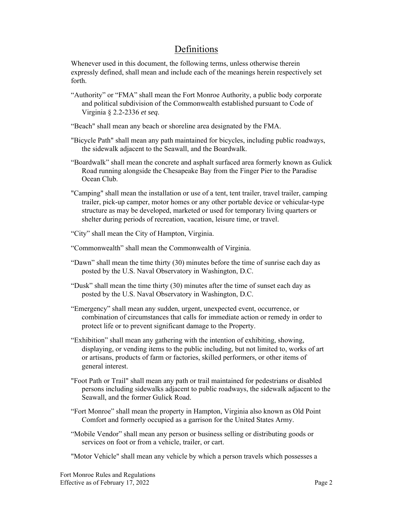# Definitions

Whenever used in this document, the following terms, unless otherwise therein expressly defined, shall mean and include each of the meanings herein respectively set forth.

- "Authority" or "FMA" shall mean the Fort Monroe Authority, a public body corporate and political subdivision of the Commonwealth established pursuant to Code of Virginia § 2.2-2336 *et seq*.
- "Beach" shall mean any beach or shoreline area designated by the FMA.
- "Bicycle Path" shall mean any path maintained for bicycles, including public roadways, the sidewalk adjacent to the Seawall, and the Boardwalk.
- "Boardwalk" shall mean the concrete and asphalt surfaced area formerly known as Gulick Road running alongside the Chesapeake Bay from the Finger Pier to the Paradise Ocean Club.
- "Camping" shall mean the installation or use of a tent, tent trailer, travel trailer, camping trailer, pick-up camper, motor homes or any other portable device or vehicular-type structure as may be developed, marketed or used for temporary living quarters or shelter during periods of recreation, vacation, leisure time, or travel.
- "City" shall mean the City of Hampton, Virginia.
- "Commonwealth" shall mean the Commonwealth of Virginia.
- "Dawn" shall mean the time thirty (30) minutes before the time of sunrise each day as posted by the U.S. Naval Observatory in Washington, D.C.
- "Dusk" shall mean the time thirty (30) minutes after the time of sunset each day as posted by the U.S. Naval Observatory in Washington, D.C.
- "Emergency" shall mean any sudden, urgent, unexpected event, occurrence, or combination of circumstances that calls for immediate action or remedy in order to protect life or to prevent significant damage to the Property.
- "Exhibition" shall mean any gathering with the intention of exhibiting, showing, displaying, or vending items to the public including, but not limited to, works of art or artisans, products of farm or factories, skilled performers, or other items of general interest.
- "Foot Path or Trail" shall mean any path or trail maintained for pedestrians or disabled persons including sidewalks adjacent to public roadways, the sidewalk adjacent to the Seawall, and the former Gulick Road.
- "Fort Monroe" shall mean the property in Hampton, Virginia also known as Old Point Comfort and formerly occupied as a garrison for the United States Army.
- "Mobile Vendor" shall mean any person or business selling or distributing goods or services on foot or from a vehicle, trailer, or cart.
- "Motor Vehicle" shall mean any vehicle by which a person travels which possesses a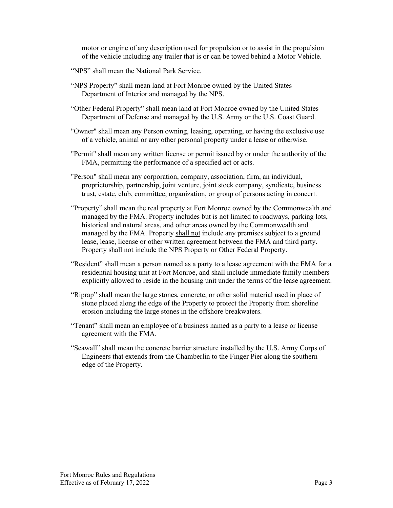motor or engine of any description used for propulsion or to assist in the propulsion of the vehicle including any trailer that is or can be towed behind a Motor Vehicle.

"NPS" shall mean the National Park Service.

- "NPS Property" shall mean land at Fort Monroe owned by the United States Department of Interior and managed by the NPS.
- "Other Federal Property" shall mean land at Fort Monroe owned by the United States Department of Defense and managed by the U.S. Army or the U.S. Coast Guard.
- "Owner" shall mean any Person owning, leasing, operating, or having the exclusive use of a vehicle, animal or any other personal property under a lease or otherwise.
- "Permit" shall mean any written license or permit issued by or under the authority of the FMA, permitting the performance of a specified act or acts.
- "Person" shall mean any corporation, company, association, firm, an individual, proprietorship, partnership, joint venture, joint stock company, syndicate, business trust, estate, club, committee, organization, or group of persons acting in concert.
- "Property" shall mean the real property at Fort Monroe owned by the Commonwealth and managed by the FMA. Property includes but is not limited to roadways, parking lots, historical and natural areas, and other areas owned by the Commonwealth and managed by the FMA. Property shall not include any premises subject to a ground lease, lease, license or other written agreement between the FMA and third party. Property shall not include the NPS Property or Other Federal Property.
- "Resident" shall mean a person named as a party to a lease agreement with the FMA for a residential housing unit at Fort Monroe, and shall include immediate family members explicitly allowed to reside in the housing unit under the terms of the lease agreement.
- "Riprap" shall mean the large stones, concrete, or other solid material used in place of stone placed along the edge of the Property to protect the Property from shoreline erosion including the large stones in the offshore breakwaters.
- "Tenant" shall mean an employee of a business named as a party to a lease or license agreement with the FMA.
- "Seawall" shall mean the concrete barrier structure installed by the U.S. Army Corps of Engineers that extends from the Chamberlin to the Finger Pier along the southern edge of the Property.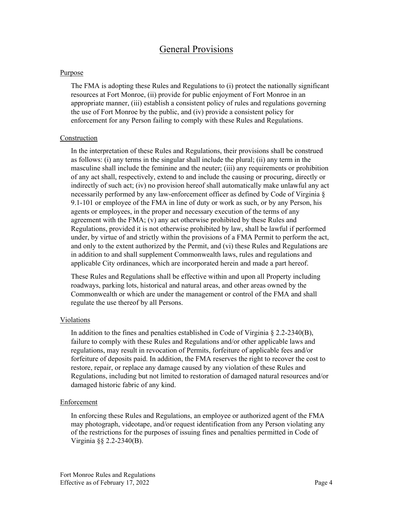# General Provisions

#### Purpose

The FMA is adopting these Rules and Regulations to (i) protect the nationally significant resources at Fort Monroe, (ii) provide for public enjoyment of Fort Monroe in an appropriate manner, (iii) establish a consistent policy of rules and regulations governing the use of Fort Monroe by the public, and (iv) provide a consistent policy for enforcement for any Person failing to comply with these Rules and Regulations.

#### Construction

In the interpretation of these Rules and Regulations, their provisions shall be construed as follows: (i) any terms in the singular shall include the plural; (ii) any term in the masculine shall include the feminine and the neuter; (iii) any requirements or prohibition of any act shall, respectively, extend to and include the causing or procuring, directly or indirectly of such act; (iv) no provision hereof shall automatically make unlawful any act necessarily performed by any law-enforcement officer as defined by Code of Virginia § 9.1-101 or employee of the FMA in line of duty or work as such, or by any Person, his agents or employees, in the proper and necessary execution of the terms of any agreement with the FMA; (v) any act otherwise prohibited by these Rules and Regulations, provided it is not otherwise prohibited by law, shall be lawful if performed under, by virtue of and strictly within the provisions of a FMA Permit to perform the act, and only to the extent authorized by the Permit, and (vi) these Rules and Regulations are in addition to and shall supplement Commonwealth laws, rules and regulations and applicable City ordinances, which are incorporated herein and made a part hereof.

These Rules and Regulations shall be effective within and upon all Property including roadways, parking lots, historical and natural areas, and other areas owned by the Commonwealth or which are under the management or control of the FMA and shall regulate the use thereof by all Persons.

#### Violations

In addition to the fines and penalties established in Code of Virginia  $\S 2.2-2340(B)$ , failure to comply with these Rules and Regulations and/or other applicable laws and regulations, may result in revocation of Permits, forfeiture of applicable fees and/or forfeiture of deposits paid. In addition, the FMA reserves the right to recover the cost to restore, repair, or replace any damage caused by any violation of these Rules and Regulations, including but not limited to restoration of damaged natural resources and/or damaged historic fabric of any kind.

#### Enforcement

In enforcing these Rules and Regulations, an employee or authorized agent of the FMA may photograph, videotape, and/or request identification from any Person violating any of the restrictions for the purposes of issuing fines and penalties permitted in Code of Virginia §§ 2.2-2340(B).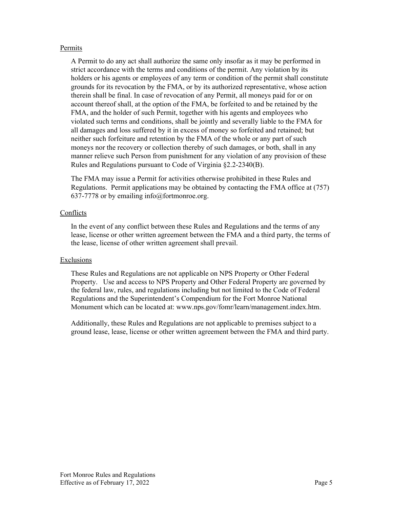#### Permits

A Permit to do any act shall authorize the same only insofar as it may be performed in strict accordance with the terms and conditions of the permit. Any violation by its holders or his agents or employees of any term or condition of the permit shall constitute grounds for its revocation by the FMA, or by its authorized representative, whose action therein shall be final. In case of revocation of any Permit, all moneys paid for or on account thereof shall, at the option of the FMA, be forfeited to and be retained by the FMA, and the holder of such Permit, together with his agents and employees who violated such terms and conditions, shall be jointly and severally liable to the FMA for all damages and loss suffered by it in excess of money so forfeited and retained; but neither such forfeiture and retention by the FMA of the whole or any part of such moneys nor the recovery or collection thereby of such damages, or both, shall in any manner relieve such Person from punishment for any violation of any provision of these Rules and Regulations pursuant to Code of Virginia §2.2-2340(B).

The FMA may issue a Permit for activities otherwise prohibited in these Rules and Regulations. Permit applications may be obtained by contacting the FMA office at (757) 637-7778 or by emailing info@fortmonroe.org.

#### Conflicts

In the event of any conflict between these Rules and Regulations and the terms of any lease, license or other written agreement between the FMA and a third party, the terms of the lease, license of other written agreement shall prevail.

#### Exclusions

These Rules and Regulations are not applicable on NPS Property or Other Federal Property. Use and access to NPS Property and Other Federal Property are governed by the federal law, rules, and regulations including but not limited to the Code of Federal Regulations and the Superintendent's Compendium for the Fort Monroe National Monument which can be located at: www.nps.gov/fomr/learn/management.index.htm.

Additionally, these Rules and Regulations are not applicable to premises subject to a ground lease, lease, license or other written agreement between the FMA and third party.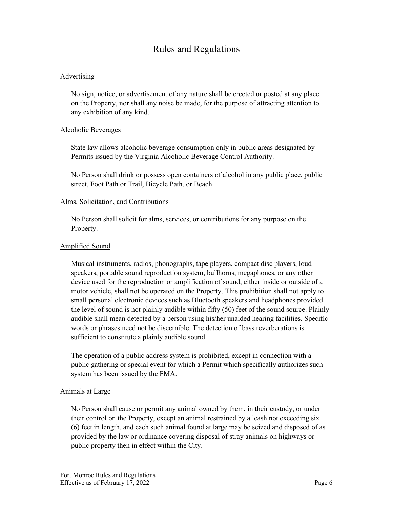# Rules and Regulations

#### **Advertising**

No sign, notice, or advertisement of any nature shall be erected or posted at any place on the Property, nor shall any noise be made, for the purpose of attracting attention to any exhibition of any kind.

#### Alcoholic Beverages

State law allows alcoholic beverage consumption only in public areas designated by Permits issued by the Virginia Alcoholic Beverage Control Authority.

No Person shall drink or possess open containers of alcohol in any public place, public street, Foot Path or Trail, Bicycle Path, or Beach.

#### Alms, Solicitation, and Contributions

No Person shall solicit for alms, services, or contributions for any purpose on the Property.

#### Amplified Sound

Musical instruments, radios, phonographs, tape players, compact disc players, loud speakers, portable sound reproduction system, bullhorns, megaphones, or any other device used for the reproduction or amplification of sound, either inside or outside of a motor vehicle, shall not be operated on the Property. This prohibition shall not apply to small personal electronic devices such as Bluetooth speakers and headphones provided the level of sound is not plainly audible within fifty (50) feet of the sound source. Plainly audible shall mean detected by a person using his/her unaided hearing facilities. Specific words or phrases need not be discernible. The detection of bass reverberations is sufficient to constitute a plainly audible sound.

The operation of a public address system is prohibited, except in connection with a public gathering or special event for which a Permit which specifically authorizes such system has been issued by the FMA.

# Animals at Large

No Person shall cause or permit any animal owned by them, in their custody, or under their control on the Property, except an animal restrained by a leash not exceeding six (6) feet in length, and each such animal found at large may be seized and disposed of as provided by the law or ordinance covering disposal of stray animals on highways or public property then in effect within the City.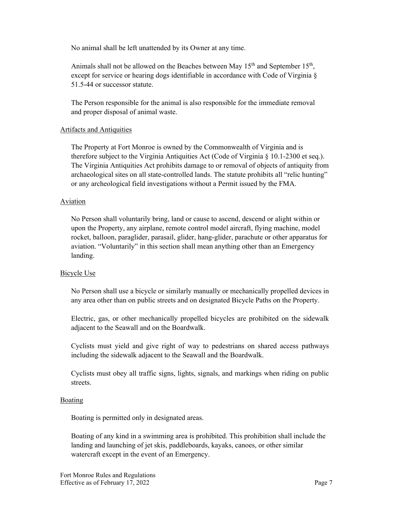No animal shall be left unattended by its Owner at any time.

Animals shall not be allowed on the Beaches between May  $15<sup>th</sup>$  and September  $15<sup>th</sup>$ , except for service or hearing dogs identifiable in accordance with Code of Virginia § 51.5-44 or successor statute.

The Person responsible for the animal is also responsible for the immediate removal and proper disposal of animal waste.

# Artifacts and Antiquities

The Property at Fort Monroe is owned by the Commonwealth of Virginia and is therefore subject to the Virginia Antiquities Act (Code of Virginia § 10.1-2300 et seq.). The Virginia Antiquities Act prohibits damage to or removal of objects of antiquity from archaeological sites on all state-controlled lands. The statute prohibits all "relic hunting" or any archeological field investigations without a Permit issued by the FMA.

# Aviation

No Person shall voluntarily bring, land or cause to ascend, descend or alight within or upon the Property, any airplane, remote control model aircraft, flying machine, model rocket, balloon, paraglider, parasail, glider, hang-glider, parachute or other apparatus for aviation. "Voluntarily" in this section shall mean anything other than an Emergency landing.

# Bicycle Use

No Person shall use a bicycle or similarly manually or mechanically propelled devices in any area other than on public streets and on designated Bicycle Paths on the Property.

Electric, gas, or other mechanically propelled bicycles are prohibited on the sidewalk adjacent to the Seawall and on the Boardwalk.

Cyclists must yield and give right of way to pedestrians on shared access pathways including the sidewalk adjacent to the Seawall and the Boardwalk.

Cyclists must obey all traffic signs, lights, signals, and markings when riding on public streets.

# Boating

Boating is permitted only in designated areas.

Boating of any kind in a swimming area is prohibited. This prohibition shall include the landing and launching of jet skis, paddleboards, kayaks, canoes, or other similar watercraft except in the event of an Emergency.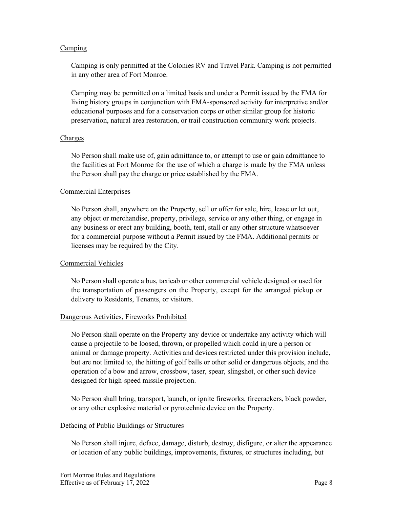#### Camping

Camping is only permitted at the Colonies RV and Travel Park. Camping is not permitted in any other area of Fort Monroe.

Camping may be permitted on a limited basis and under a Permit issued by the FMA for living history groups in conjunction with FMA-sponsored activity for interpretive and/or educational purposes and for a conservation corps or other similar group for historic preservation, natural area restoration, or trail construction community work projects.

#### Charges

No Person shall make use of, gain admittance to, or attempt to use or gain admittance to the facilities at Fort Monroe for the use of which a charge is made by the FMA unless the Person shall pay the charge or price established by the FMA.

#### Commercial Enterprises

No Person shall, anywhere on the Property, sell or offer for sale, hire, lease or let out, any object or merchandise, property, privilege, service or any other thing, or engage in any business or erect any building, booth, tent, stall or any other structure whatsoever for a commercial purpose without a Permit issued by the FMA. Additional permits or licenses may be required by the City.

# Commercial Vehicles

No Person shall operate a bus, taxicab or other commercial vehicle designed or used for the transportation of passengers on the Property, except for the arranged pickup or delivery to Residents, Tenants, or visitors.

# Dangerous Activities, Fireworks Prohibited

No Person shall operate on the Property any device or undertake any activity which will cause a projectile to be loosed, thrown, or propelled which could injure a person or animal or damage property. Activities and devices restricted under this provision include, but are not limited to, the hitting of golf balls or other solid or dangerous objects, and the operation of a bow and arrow, crossbow, taser, spear, slingshot, or other such device designed for high-speed missile projection.

No Person shall bring, transport, launch, or ignite fireworks, firecrackers, black powder, or any other explosive material or pyrotechnic device on the Property.

# Defacing of Public Buildings or Structures

No Person shall injure, deface, damage, disturb, destroy, disfigure, or alter the appearance or location of any public buildings, improvements, fixtures, or structures including, but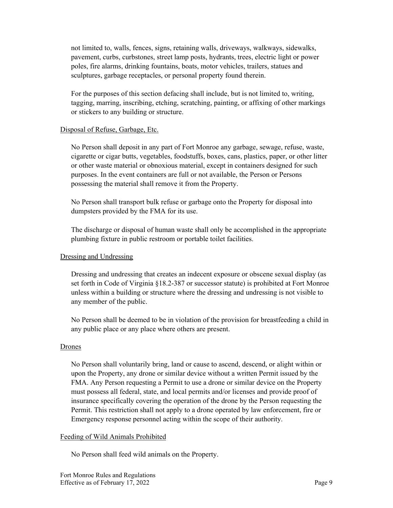not limited to, walls, fences, signs, retaining walls, driveways, walkways, sidewalks, pavement, curbs, curbstones, street lamp posts, hydrants, trees, electric light or power poles, fire alarms, drinking fountains, boats, motor vehicles, trailers, statues and sculptures, garbage receptacles, or personal property found therein.

For the purposes of this section defacing shall include, but is not limited to, writing, tagging, marring, inscribing, etching, scratching, painting, or affixing of other markings or stickers to any building or structure.

#### Disposal of Refuse, Garbage, Etc.

No Person shall deposit in any part of Fort Monroe any garbage, sewage, refuse, waste, cigarette or cigar butts, vegetables, foodstuffs, boxes, cans, plastics, paper, or other litter or other waste material or obnoxious material, except in containers designed for such purposes. In the event containers are full or not available, the Person or Persons possessing the material shall remove it from the Property.

No Person shall transport bulk refuse or garbage onto the Property for disposal into dumpsters provided by the FMA for its use.

The discharge or disposal of human waste shall only be accomplished in the appropriate plumbing fixture in public restroom or portable toilet facilities.

#### Dressing and Undressing

Dressing and undressing that creates an indecent exposure or obscene sexual display (as set forth in Code of Virginia §18.2-387 or successor statute) is prohibited at Fort Monroe unless within a building or structure where the dressing and undressing is not visible to any member of the public.

No Person shall be deemed to be in violation of the provision for breastfeeding a child in any public place or any place where others are present.

#### Drones

No Person shall voluntarily bring, land or cause to ascend, descend, or alight within or upon the Property, any drone or similar device without a written Permit issued by the FMA. Any Person requesting a Permit to use a drone or similar device on the Property must possess all federal, state, and local permits and/or licenses and provide proof of insurance specifically covering the operation of the drone by the Person requesting the Permit. This restriction shall not apply to a drone operated by law enforcement, fire or Emergency response personnel acting within the scope of their authority.

# Feeding of Wild Animals Prohibited

No Person shall feed wild animals on the Property.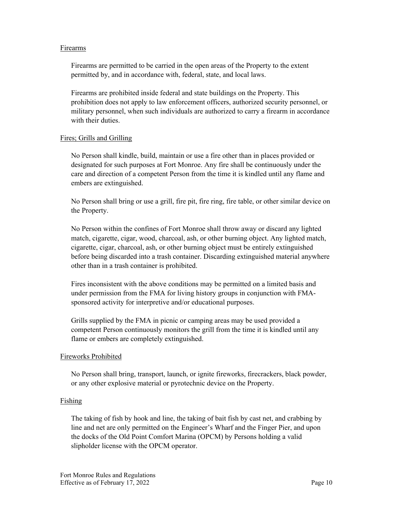#### Firearms

Firearms are permitted to be carried in the open areas of the Property to the extent permitted by, and in accordance with, federal, state, and local laws.

Firearms are prohibited inside federal and state buildings on the Property. This prohibition does not apply to law enforcement officers, authorized security personnel, or military personnel, when such individuals are authorized to carry a firearm in accordance with their duties.

#### Fires; Grills and Grilling

No Person shall kindle, build, maintain or use a fire other than in places provided or designated for such purposes at Fort Monroe. Any fire shall be continuously under the care and direction of a competent Person from the time it is kindled until any flame and embers are extinguished.

No Person shall bring or use a grill, fire pit, fire ring, fire table, or other similar device on the Property.

No Person within the confines of Fort Monroe shall throw away or discard any lighted match, cigarette, cigar, wood, charcoal, ash, or other burning object. Any lighted match, cigarette, cigar, charcoal, ash, or other burning object must be entirely extinguished before being discarded into a trash container. Discarding extinguished material anywhere other than in a trash container is prohibited.

Fires inconsistent with the above conditions may be permitted on a limited basis and under permission from the FMA for living history groups in conjunction with FMAsponsored activity for interpretive and/or educational purposes.

Grills supplied by the FMA in picnic or camping areas may be used provided a competent Person continuously monitors the grill from the time it is kindled until any flame or embers are completely extinguished.

# Fireworks Prohibited

No Person shall bring, transport, launch, or ignite fireworks, firecrackers, black powder, or any other explosive material or pyrotechnic device on the Property.

#### Fishing

The taking of fish by hook and line, the taking of bait fish by cast net, and crabbing by line and net are only permitted on the Engineer's Wharf and the Finger Pier, and upon the docks of the Old Point Comfort Marina (OPCM) by Persons holding a valid slipholder license with the OPCM operator.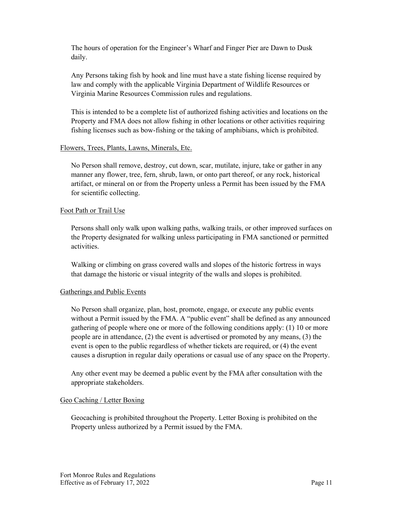The hours of operation for the Engineer's Wharf and Finger Pier are Dawn to Dusk daily.

Any Persons taking fish by hook and line must have a state fishing license required by law and comply with the applicable Virginia Department of Wildlife Resources or Virginia Marine Resources Commission rules and regulations.

This is intended to be a complete list of authorized fishing activities and locations on the Property and FMA does not allow fishing in other locations or other activities requiring fishing licenses such as bow-fishing or the taking of amphibians, which is prohibited.

#### Flowers, Trees, Plants, Lawns, Minerals, Etc.

No Person shall remove, destroy, cut down, scar, mutilate, injure, take or gather in any manner any flower, tree, fern, shrub, lawn, or onto part thereof, or any rock, historical artifact, or mineral on or from the Property unless a Permit has been issued by the FMA for scientific collecting.

#### Foot Path or Trail Use

Persons shall only walk upon walking paths, walking trails, or other improved surfaces on the Property designated for walking unless participating in FMA sanctioned or permitted activities.

Walking or climbing on grass covered walls and slopes of the historic fortress in ways that damage the historic or visual integrity of the walls and slopes is prohibited.

# Gatherings and Public Events

No Person shall organize, plan, host, promote, engage, or execute any public events without a Permit issued by the FMA. A "public event" shall be defined as any announced gathering of people where one or more of the following conditions apply: (1) 10 or more people are in attendance, (2) the event is advertised or promoted by any means, (3) the event is open to the public regardless of whether tickets are required, or (4) the event causes a disruption in regular daily operations or casual use of any space on the Property.

Any other event may be deemed a public event by the FMA after consultation with the appropriate stakeholders.

# Geo Caching / Letter Boxing

Geocaching is prohibited throughout the Property. Letter Boxing is prohibited on the Property unless authorized by a Permit issued by the FMA.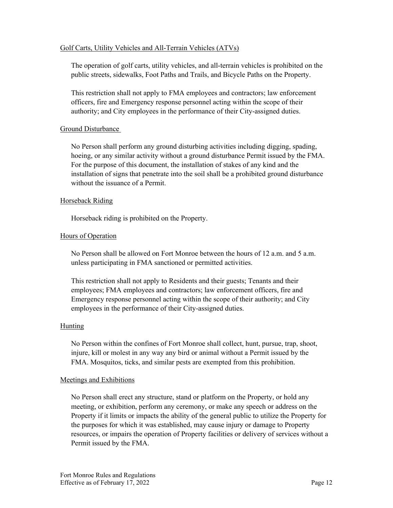# Golf Carts, Utility Vehicles and All-Terrain Vehicles (ATVs)

The operation of golf carts, utility vehicles, and all-terrain vehicles is prohibited on the public streets, sidewalks, Foot Paths and Trails, and Bicycle Paths on the Property.

This restriction shall not apply to FMA employees and contractors; law enforcement officers, fire and Emergency response personnel acting within the scope of their authority; and City employees in the performance of their City-assigned duties.

# Ground Disturbance

No Person shall perform any ground disturbing activities including digging, spading, hoeing, or any similar activity without a ground disturbance Permit issued by the FMA. For the purpose of this document, the installation of stakes of any kind and the installation of signs that penetrate into the soil shall be a prohibited ground disturbance without the issuance of a Permit.

# Horseback Riding

Horseback riding is prohibited on the Property.

# Hours of Operation

No Person shall be allowed on Fort Monroe between the hours of 12 a.m. and 5 a.m. unless participating in FMA sanctioned or permitted activities.

This restriction shall not apply to Residents and their guests; Tenants and their employees; FMA employees and contractors; law enforcement officers, fire and Emergency response personnel acting within the scope of their authority; and City employees in the performance of their City-assigned duties.

# Hunting

No Person within the confines of Fort Monroe shall collect, hunt, pursue, trap, shoot, injure, kill or molest in any way any bird or animal without a Permit issued by the FMA. Mosquitos, ticks, and similar pests are exempted from this prohibition.

# Meetings and Exhibitions

No Person shall erect any structure, stand or platform on the Property, or hold any meeting, or exhibition, perform any ceremony, or make any speech or address on the Property if it limits or impacts the ability of the general public to utilize the Property for the purposes for which it was established, may cause injury or damage to Property resources, or impairs the operation of Property facilities or delivery of services without a Permit issued by the FMA.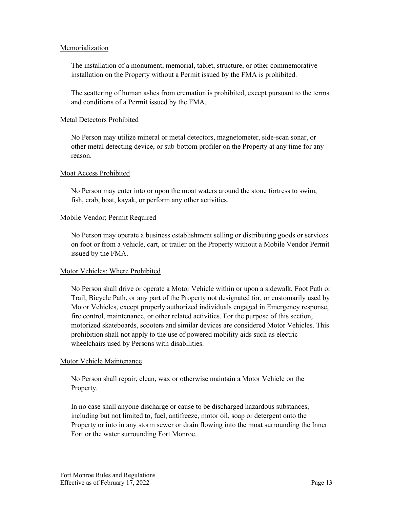#### Memorialization

The installation of a monument, memorial, tablet, structure, or other commemorative installation on the Property without a Permit issued by the FMA is prohibited.

The scattering of human ashes from cremation is prohibited, except pursuant to the terms and conditions of a Permit issued by the FMA.

#### Metal Detectors Prohibited

No Person may utilize mineral or metal detectors, magnetometer, side-scan sonar, or other metal detecting device, or sub-bottom profiler on the Property at any time for any reason.

#### Moat Access Prohibited

No Person may enter into or upon the moat waters around the stone fortress to swim, fish, crab, boat, kayak, or perform any other activities.

#### Mobile Vendor; Permit Required

No Person may operate a business establishment selling or distributing goods or services on foot or from a vehicle, cart, or trailer on the Property without a Mobile Vendor Permit issued by the FMA.

# Motor Vehicles; Where Prohibited

No Person shall drive or operate a Motor Vehicle within or upon a sidewalk, Foot Path or Trail, Bicycle Path, or any part of the Property not designated for, or customarily used by Motor Vehicles, except properly authorized individuals engaged in Emergency response, fire control, maintenance, or other related activities. For the purpose of this section, motorized skateboards, scooters and similar devices are considered Motor Vehicles. This prohibition shall not apply to the use of powered mobility aids such as electric wheelchairs used by Persons with disabilities.

#### Motor Vehicle Maintenance

No Person shall repair, clean, wax or otherwise maintain a Motor Vehicle on the Property.

In no case shall anyone discharge or cause to be discharged hazardous substances, including but not limited to, fuel, antifreeze, motor oil, soap or detergent onto the Property or into in any storm sewer or drain flowing into the moat surrounding the Inner Fort or the water surrounding Fort Monroe.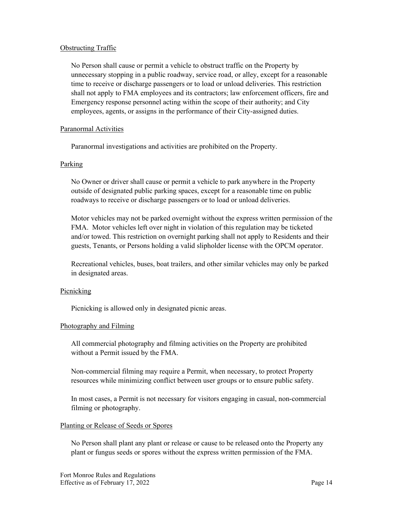#### Obstructing Traffic

No Person shall cause or permit a vehicle to obstruct traffic on the Property by unnecessary stopping in a public roadway, service road, or alley, except for a reasonable time to receive or discharge passengers or to load or unload deliveries. This restriction shall not apply to FMA employees and its contractors; law enforcement officers, fire and Emergency response personnel acting within the scope of their authority; and City employees, agents, or assigns in the performance of their City-assigned duties.

#### Paranormal Activities

Paranormal investigations and activities are prohibited on the Property.

#### Parking

No Owner or driver shall cause or permit a vehicle to park anywhere in the Property outside of designated public parking spaces, except for a reasonable time on public roadways to receive or discharge passengers or to load or unload deliveries.

Motor vehicles may not be parked overnight without the express written permission of the FMA. Motor vehicles left over night in violation of this regulation may be ticketed and/or towed. This restriction on overnight parking shall not apply to Residents and their guests, Tenants, or Persons holding a valid slipholder license with the OPCM operator.

Recreational vehicles, buses, boat trailers, and other similar vehicles may only be parked in designated areas.

#### Picnicking

Picnicking is allowed only in designated picnic areas.

#### Photography and Filming

All commercial photography and filming activities on the Property are prohibited without a Permit issued by the FMA.

Non-commercial filming may require a Permit, when necessary, to protect Property resources while minimizing conflict between user groups or to ensure public safety.

In most cases, a Permit is not necessary for visitors engaging in casual, non-commercial filming or photography.

#### Planting or Release of Seeds or Spores

No Person shall plant any plant or release or cause to be released onto the Property any plant or fungus seeds or spores without the express written permission of the FMA.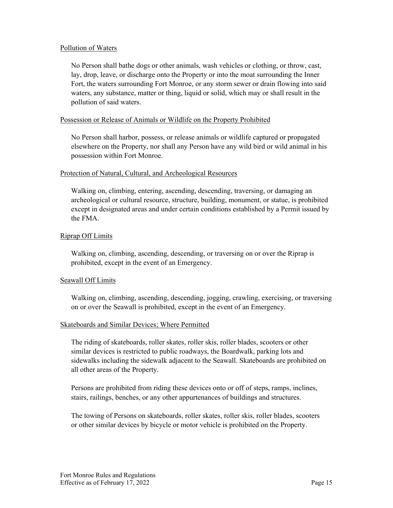#### Pollution of Waters

No Person shall bathe dogs or other animals, wash vehicles or clothing, or throw, cast, lay, drop, leave, or discharge onto the Property or into the moat surrounding the Inner Fort, the waters surrounding Fort Monroe, or any storm sewer or drain flowing into said waters, any substance, matter or thing, liquid or solid, which may or shall result in the pollution of said waters.

#### Possession or Release of Animals or Wildlife on the Property Prohibited

No Person shall harbor, possess, or release animals or wildlife captured or propagated elsewhere on the Property, nor shall any Person have any wild bird or wild animal in his possession within Fort Monroe.

#### Protection of Natural, Cultural, and Archeological Resources

Walking on, climbing, entering, ascending, descending, traversing, or damaging an archeological or cultural resource, structure, building, monument, or statue, is prohibited except in designated areas and under certain conditions established by a Permit issued by the FMA.

#### Riprap Off Limits

Walking on, climbing, ascending, descending, or traversing on or over the Riprap is prohibited, except in the event of an Emergency.

#### Seawall Off Limits

Walking on, climbing, ascending, descending, jogging, crawling, exercising, or traversing on or over the Seawall is prohibited, except in the event of an Emergency.

#### Skateboards and Similar Devices; Where Permitted

The riding of skateboards, roller skates, roller skis, roller blades, scooters or other similar devices is restricted to public roadways, the Boardwalk, parking lots and sidewalks including the sidewalk adjacent to the Seawall. Skateboards are prohibited on all other areas of the Property.

Persons are prohibited from riding these devices onto or off of steps, ramps, inclines, stairs, railings, benches, or any other appurtenances of buildings and structures.

The towing of Persons on skateboards, roller skates, roller skis, roller blades, scooters or other similar devices by bicycle or motor vehicle is prohibited on the Property.